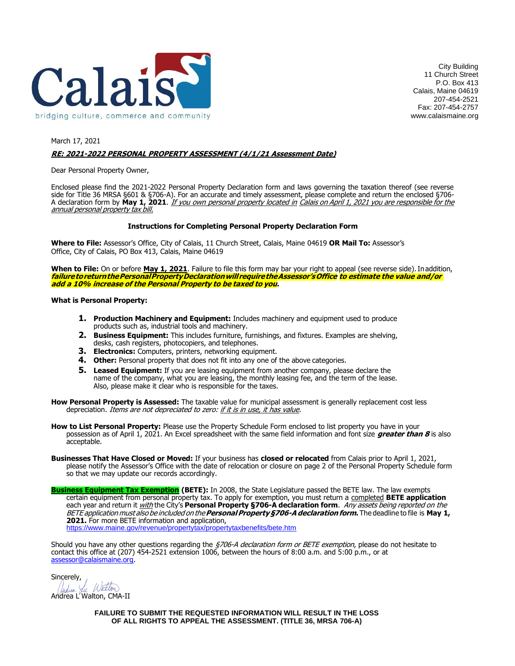

City Building 11 Church Street P.O. Box 413 Calais, Maine 04619 207-454-2521 Fax: 207-454-2757 www.calaismaine.org

### March 17, 2021 **RE: 2021-2022 PERSONAL PROPERTY ASSESSMENT (4/1/21 Assessment Date)**

Dear Personal Property Owner,

Enclosed please find the 2021-2022 Personal Property Declaration form and laws governing the taxation thereof (see reverse side for Title 36 MRSA §601 & §706-A). For an accurate and timely assessment, please complete and return the enclosed §706- A declaration form by **May 1, 2021**. If you own personal property located in Calais on April 1, 2021 you are responsible for the annual personal property tax bill.

### **Instructions for Completing Personal Property Declaration Form**

**Where to File:** Assessor's Office, City of Calais, 11 Church Street, Calais, Maine 04619 **OR Mail To:** Assessor's Office, City of Calais, PO Box 413, Calais, Maine 04619

When to File: On or before May 1, 2021. Failure to file this form may bar your right to appeal (see reverse side). In addition, **failuretoreturnthePersonalPropertyDeclarationwillrequiretheAssessor'sOffice to estimate the value and/or add a 10% increase of the Personal Property to be taxed to you.**

#### **What is Personal Property:**

- **1. Production Machinery and Equipment:** Includes machinery and equipment used to produce products such as, industrial tools and machinery.
- **2. Business Equipment:** This includes furniture, furnishings, and fixtures. Examples are shelving, desks, cash registers, photocopiers, and telephones.
- **3. Electronics:** Computers, printers, networking equipment.
- **4. Other:** Personal property that does not fit into any one of the above categories.
- **5.** Leased Equipment: If you are leasing equipment from another company, please declare the name of the company, what you are leasing, the monthly leasing fee, and the term of the lease. Also, please make it clear who is responsible for the taxes.
- **How Personal Property is Assessed:** The taxable value for municipal assessment is generally replacement cost less depreciation. Items are not depreciated to zero: if it is in use, it has value.
- **How to List Personal Property:** Please use the Property Schedule Form enclosed to list property you have in your possession as of April 1, 2021. An Excel spreadsheet with the same field information and font size **greater than 8** is also acceptable.
- **Businesses That Have Closed or Moved:** If your business has **closed or relocated** from Calais prior to April 1, 2021, please notify the Assessor's Office with the date of relocation or closure on page 2 of the Personal Property Schedule form so that we may update our records accordingly.

**Business Equipment Tax Exemption (BETE):** In 2008, the State Legislature passed the BETE law. The law exempts certain equipment from personal property tax. To apply for exemption, you must return a completed **BETE application**  each year and return it with the City's **Personal Property §706-A declaration form**. Any assets being reported on the BETE application must also be included on the**PersonalProperty§706-Adeclarationform.** The deadline to file is **May 1,**  2021. For more BETE information and application,

<https://www.maine.gov/revenue/propertytax/propertytaxbenefits/bete.htm>

Should you have any other questions regarding the 5706-A declaration form or BETE exemption, please do not hesitate to contact this office at (207) 454-2521 extension 1006, between the hours of 8:00 a.m. and 5:00 p.m., or at [assessor@calaismaine.org.](mailto:assessor@calaismaine.org)

Sincerely,<br>Judien Lu Watter

Andrea L'Walton, CMA-II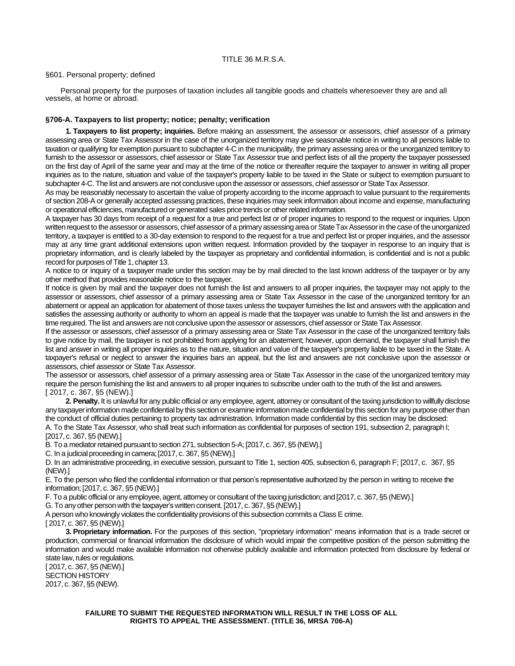#### §601. Personal property; defined

Personal property for the purposes of taxation includes all tangible goods and chattels wheresoever they are and all vessels, at home or abroad.

#### **§706-A. Taxpayers to list property; notice; penalty; verification**

**1. Taxpayers to list property; inquiries.** Before making an assessment, the assessor or assessors, chief assessor of a primary assessing area or State Tax Assessor in the case of the unorganized territory may give seasonable notice in writing to all persons liable to taxation or qualifying for exemption pursuant to subchapter 4-C in the municipality, the primary assessing area or the unorganized territory to furnish to the assessor or assessors, chief assessor or State Tax Assessor true and perfect lists of all the property the taxpayer possessed on the first day of April of the same year and may at the time of the notice or thereafter require the taxpayer to answer in writing all proper inquiries as to the nature, situation and value of the taxpayer's property liable to be taxed in the State or subject to exemption pursuant to subchapter 4-C. The list and answers are not conclusive upon the assessor or assessors, chief assessor or State Tax Assessor.

As may be reasonably necessary to ascertain the value of property according to the income approach to value pursuant to the requirements of section 208-A or generally accepted assessing practices, these inquiries may seek information about income and expense, manufacturing or operational efficiencies, manufactured or generated sales pricetrends or otherrelated information.

A taxpayer has 30 days from receipt of a request for a true and perfect list or of proper inquiries to respond to the request or inquiries. Upon written request to the assessor or assessors, chief assessor of a primary assessing area or State Tax Assessor in the case of the unorganized territory, a taxpayer is entitled to a 30-day extension to respond to the request for a true and perfect list or proper inquiries, and the assessor may at any time grant additional extensions upon written request. Information provided by the taxpayer in response to an inquiry that is proprietary information, and is clearly labeled by the taxpayer as proprietary and confidential information, is confidential and is not a public record for purposes of Title 1, chapter 13.

A notice to or inquiry of a taxpayer made under this section may be by mail directed to the last known address of the taxpayer or by any other method that provides reasonable notice to the taxpayer.

If notice is given by mail and the taxpayer does not furnish the list and answers to all proper inquiries, the taxpayer may not apply to the assessor or assessors, chief assessor of a primary assessing area or State Tax Assessor in the case of the unorganized territory for an abatement or appeal an application for abatement of those taxes unless the taxpayer furnishes the list and answers with the application and satisfies the assessing authority or authority to whom an appeal is made that the taxpayer was unable to furnish the list and answers in the time required. The list and answers are not conclusive upon the assessor or assessors, chief assessor or State Tax Assessor.

If the assessor or assessors, chief assessor of a primary assessing area or State Tax Assessor in the case of the unorganized territory fails to give notice by mail, the taxpayer is not prohibited from applying for an abatement; however, upon demand, the taxpayer shall furnish the list and answer in writing all proper inquiries as to the nature, situation and value of the taxpayer's property liable to be taxed in the State. A taxpayer's refusal or neglect to answer the inquiries bars an appeal, but the list and answers are not conclusive upon the assessor or assessors, chief assessor or State Tax Assessor.

The assessor or assessors, chief assessor of a primary assessing area or State Tax Assessor in the case of the unorganized territory may require the person furnishing the list and answers to all proper inquiries to subscribe under oath to the truth of the list and answers. [ 2017, c. 367, §5 (NEW).]

**2. Penalty.** It is unlawful for any public official or any employee, agent, attorney or consultant of the taxing jurisdiction to willfully disclose any taxpayer information made confidential by this section or examine information made confidential by this section for any purpose other than the conduct of official duties pertaining to property tax administration. Information made confidential by this section may be disclosed: A. To the State Tax Assessor, who shall treat such information as confidential for purposes of section 191, subsection 2, paragraph I; [2017, c. 367, §5 (NEW).]

B. To a mediator retained pursuant to section 271, subsection 5-A; [2017, c. 367, §5 (NEW).]

C. In a judicial proceeding in camera; [2017, c. 367, §5 (NEW).]

D. In an administrative proceeding, in executive session, pursuant to Title 1, section 405, subsection 6, paragraph F; [2017, c. 367, §5 (NEW).]

E. To the person who filed the confidential information or that person's representative authorized by the person in writing to receive the information; [2017, c. 367, §5 (NEW).]

F. To a public official or any employee, agent, attorney or consultant of the taxing jurisdiction; and [2017, c. 367, §5 (NEW).]

G. To any other person with the taxpayer's written consent. [2017, c. 367, §5 (NEW).]

A person who knowingly violates the confidentiality provisions of this subsection commits a Class E crime.

[ 2017, c. 367, §5 (NEW).]

**3. Proprietary information.** For the purposes of this section, "proprietary information" means information that is a trade secret or production, commercial or financial information the disclosure of which would impair the competitive position of the person submitting the information and would make available information not otherwise publicly available and information protected from disclosure by federal or state law, rules or regulations.

[ 2017, c. 367, §5 (NEW).] SECTION HISTORY 2017, c. 367, §5 (NEW).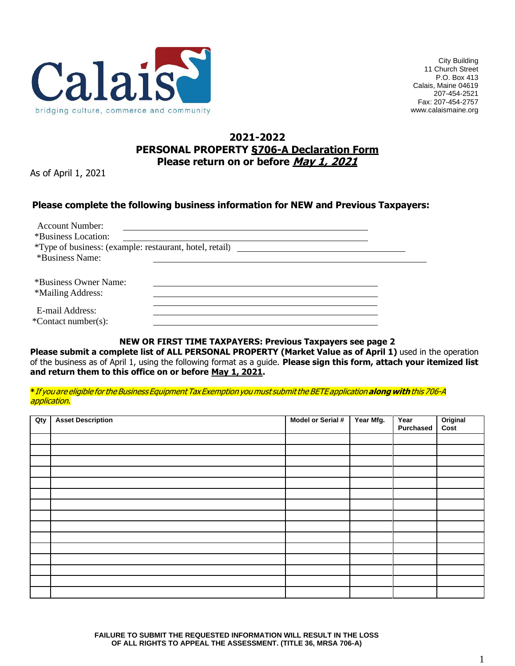

City Building 11 Church Street P.O. Box 413 Calais, Maine 04619 207-454-2521 Fax: 207-454-2757 www.calaismaine.org

# **2021-2022 PERSONAL PROPERTY §706-A Declaration Form Please return on or before May 1, 2021**

As of April 1, 2021

# **Please complete the following business information for NEW and Previous Taxpayers:**

| <b>Account Number:</b> |                                                                 |  |
|------------------------|-----------------------------------------------------------------|--|
| *Business Location:    |                                                                 |  |
|                        | <i>*</i> Type of business: (example: restaurant, hotel, retail) |  |
| *Business Name:        |                                                                 |  |
|                        |                                                                 |  |
| *Business Owner Name:  |                                                                 |  |
| *Mailing Address:      |                                                                 |  |
|                        |                                                                 |  |
| E-mail Address:        |                                                                 |  |
| *Contact number(s):    |                                                                 |  |

## **NEW OR FIRST TIME TAXPAYERS: Previous Taxpayers see page 2**

**Please submit a complete list of ALL PERSONAL PROPERTY (Market Value as of April 1)** used in the operation of the business as of April 1, using the following format as a guide. **Please sign this form, attach your itemized list and return them to this office on or before May 1, 2021.**

**\***If you are eligible forthe Business EquipmentTaxExemption you must submitthe BETE application**alongwith**this 706-A application.

| Qty | <b>Asset Description</b> | Model or Serial # | Year Mfg. | Year<br><b>Purchased</b> | Original<br>Cost |
|-----|--------------------------|-------------------|-----------|--------------------------|------------------|
|     |                          |                   |           |                          |                  |
|     |                          |                   |           |                          |                  |
|     |                          |                   |           |                          |                  |
|     |                          |                   |           |                          |                  |
|     |                          |                   |           |                          |                  |
|     |                          |                   |           |                          |                  |
|     |                          |                   |           |                          |                  |
|     |                          |                   |           |                          |                  |
|     |                          |                   |           |                          |                  |
|     |                          |                   |           |                          |                  |
|     |                          |                   |           |                          |                  |
|     |                          |                   |           |                          |                  |
|     |                          |                   |           |                          |                  |
|     |                          |                   |           |                          |                  |
|     |                          |                   |           |                          |                  |